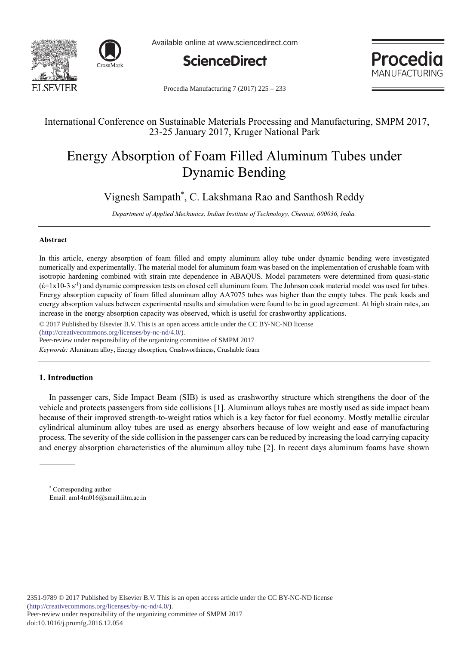



Available online at www.sciencedirect.com



Procedia MANUFACTURING

Procedia Manufacturing 7 (2017) 225 – 233

## International Conference on Sustainable Materials Processing and Manufacturing, SMPM 2017, 23-25 January 2017, Kruger National Park

# Energy Absorption of Foam Filled Aluminum Tubes under Dynamic Bending

Vignesh Sampath\*, C. Lakshmana Rao and Santhosh Reddy

Department of Applied Mechanics, Indian Institute of Technology, Chennai, 600036, India.

## **-**

In this article, energy absorption of foam filled and empty aluminum alloy tube under dynamic bending were investigated numerically and experimentally. The material model for aluminum foam was based on the implementation of crushable foam with isotropic hardening combined with strain rate dependence in ABAQUS. Model parameters were determined from quasi-static  $(\hat{\epsilon} = 1x10-3 s^{-1})$  and dynamic compression tests on closed cell aluminum foam. The Johnson cook material model was used for tubes. Energy absorption capacity of foam filled aluminum alloy AA7075 tubes was higher than the empty tubes. The peak loads and energy absorption values between experimental results and simulation were found to be in good agreement. At high strain rates, an increase in the energy absorption capacity was observed, which is useful for crashworthy applications.

© 2017 Published by Elsevier B.V. This is an open access article under the CC BY-NC-ND license

(http://creativecommons.org/licenses/by-nc-nd/4.0/).

Peer-review under responsibility of the organizing committee of SMPM 2017

Keywords: Aluminum alloy, Energy absorption, Crashworthiness, Crushable foam

## 1. Introduction

In passenger cars, Side Impact Beam (SIB) is used as crashworthy structure which strengthens the door of the vehicle and protects passengers from side collisions [1]. Aluminum alloys tubes are mostly used as side impact beam because of their improved strength-to-weight ratios which is a key factor for fuel economy. Mostly metallic circular cylindrical aluminum alloy tubes are used as energy absorbers because of low weight and ease of manufacturing process. The severity of the side collision in the passenger cars can be reduced by increasing the load carrying capacity and energy absorption characteristics of the aluminum alloy tube  $[2]$ . In recent days aluminum foams have shown

<sup>\*</sup> Corresponding author Email: am14m016@smail.iitm.ac.in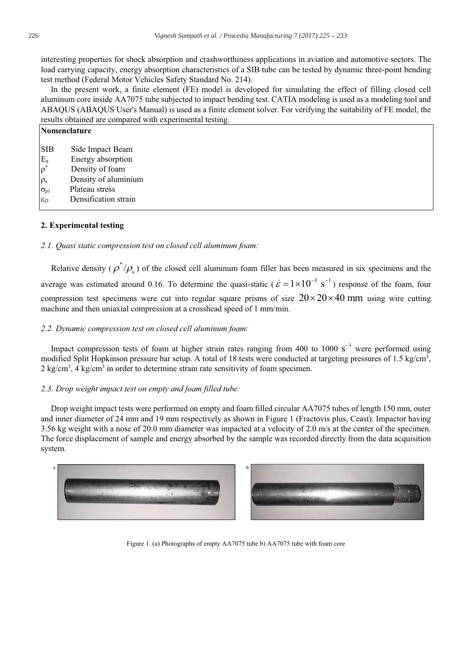interesting properties for shock absorption and crashworthiness applications in aviation and automotive sectors. The load carrying capacity, energy absorption characteristics of a SIB tube can be tested by dynamic three-point bending test method (Federal Motor Vehicles Safety Standard No. 214).

In the present work, a finite element (FE) model is developed for simulating the effect of filling closed cell aluminum core inside AA7075 tube subjected to impact bending test. CATIA modeling is used as a modeling tool and ABAQUS (ABAQUS User's Manual) is used as a finite element solver. For verifying the suitability of FE model, the results obtained are compared with experimental testing.

|                                                  | Nomenclature                                                                     |  |  |  |  |
|--------------------------------------------------|----------------------------------------------------------------------------------|--|--|--|--|
| <b>SIB</b><br>$\mathop E\nolimits_{a} \limits^*$ | Side Impact Beam<br>Energy absorption<br>Density of foam<br>Density of aluminium |  |  |  |  |
| $\rho_s$<br>$\sigma_{pl}$<br>$\varepsilon_D$     | Plateau stress<br>Densification strain                                           |  |  |  |  |

## 2. Experimental testing

2.1. Ouasi static compression test on closed cell aluminum foam:

Relative density ( $\rho^*/\rho$ ) of the closed cell aluminum foam filler has been measured in six specimens and the average was estimated around 0.16. To determine the quasi-static ( $\dot{\epsilon} = 1 \times 10^{-3}$  s<sup>-1</sup>) response of the foam, four compression test specimens were cut into regular square prisms of size  $20 \times 20 \times 40$  mm using wire cutting machine and then uniaxial compression at a crosshead speed of 1 mm/min.

## 2.2. Dynamic compression test on closed cell aluminum foam:

Impact compression tests of foam at higher strain rates ranging from 400 to 1000  $s^{-1}$  were performed using modified Split Hopkinson pressure bar setup. A total of 18 tests were conducted at targeting pressures of 1.5  $kg/cm<sup>3</sup>$ ,  $2 \text{ kg/cm}^3$ , 4 kg/cm<sup>3</sup> in order to determine strain rate sensitivity of foam specimen.

## 2.3. Drop weight impact test on empty and foam filled tube:

Drop weight impact tests were performed on empty and foam filled circular AA7075 tubes of length 150 mm, outer and inner diameter of 24 mm and 19 mm respectively as shown in Figure 1 (Fractovis plus, Ceast). Impactor having 3.56 kg weight with a nose of 20.0 mm diameter was impacted at a velocity of 2.0 m/s at the center of the specimen. The force displacement of sample and energy absorbed by the sample was recorded directly from the data acquisition system.





Figure 1. (a) Photographs of empty AA7075 tube b) AA7075 tube with foam core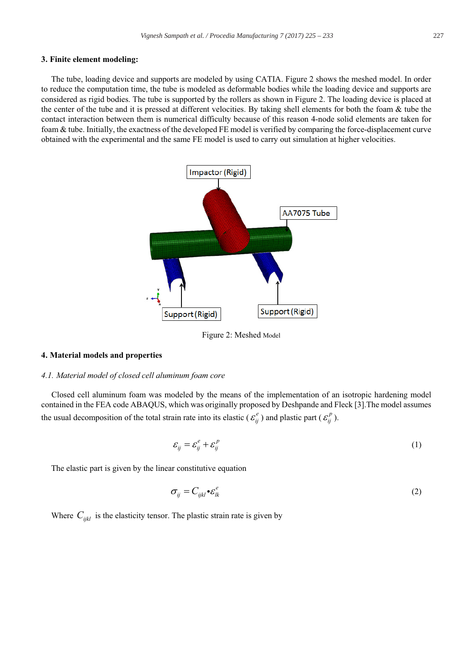#### 3. Finite element modeling:

The tube, loading device and supports are modeled by using CATIA. Figure 2 shows the meshed model. In order to reduce the computation time, the tube is modeled as deformable bodies while the loading device and supports are considered as rigid bodies. The tube is supported by the rollers as shown in Figure 2. The loading device is placed at the center of the tube and it is pressed at different velocities. By taking shell elements for both the foam & tube the contact interaction between them is numerical difficulty because of this reason 4-node solid elements are taken for foam & tube. Initially, the exactness of the developed FE model is verified by comparing the force-displacement curve obtained with the experimental and the same FE model is used to carry out simulation at higher velocities.



Figure 2: Meshed Model

## 4. Material models and properties

#### 4.1. Material model of closed cell aluminum foam core

Closed cell aluminum foam was modeled by the means of the implementation of an isotropic hardening model contained in the FEA code ABAQUS, which was originally proposed by Deshpande and Fleck [3]. The model assumes the usual decomposition of the total strain rate into its elastic ( $\varepsilon_{ii}^e$ ) and plastic part ( $\varepsilon_{ii}^p$ ).

$$
\varepsilon_{ij} = \varepsilon_{ij}^e + \varepsilon_{ij}^p \tag{1}
$$

The elastic part is given by the linear constitutive equation

$$
\sigma_{ij} = C_{ijkl} \bullet \varepsilon_{lk}^e \tag{2}
$$

Where  $C_{ijkl}$  is the elasticity tensor. The plastic strain rate is given by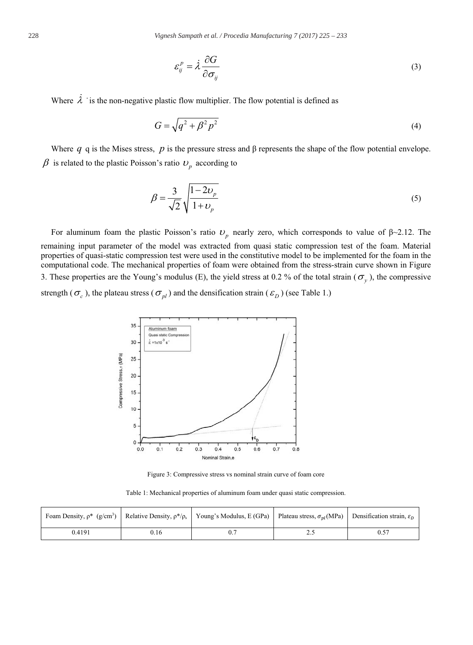$$
\varepsilon_{ij}^p = \dot{\lambda} \frac{\partial G}{\partial \sigma_{ij}} \tag{3}
$$

Where  $\lambda$  ' is the non-negative plastic flow multiplier. The flow potential is defined as

$$
G = \sqrt{q^2 + \beta^2 p^2} \tag{4}
$$

Where q q is the Mises stress, p is the pressure stress and  $\beta$  represents the shape of the flow potential envelope.  $\beta$  is related to the plastic Poisson's ratio  $v_p$  according to

$$
\beta = \frac{3}{\sqrt{2}} \sqrt{\frac{1 - 2\upsilon_p}{1 + \upsilon_p}}
$$
\n
$$
\tag{5}
$$

For aluminum foam the plastic Poisson's ratio  $U_p$  nearly zero, which corresponds to value of  $\beta$  -2.12. The remaining input parameter of the model was extracted from quasi static compression test of the foam. Material properties of quasi-static compression test were used in the constitutive model to be implemented for the foam in the computational code. The mechanical properties of foam were obtained from the stress-strain curve shown in Figure 3. These properties are the Young's modulus (E), the yield stress at 0.2 % of the total strain ( $\sigma_y$ ), the compressive

strength ( $\sigma_c$ ), the plateau stress ( $\sigma_{pl}$ ) and the densification strain ( $\varepsilon_D$ ) (see Table 1.)



Figure 3: Compressive stress vs nominal strain curve of foam core

Table 1: Mechanical properties of aluminum foam under quasi static compression.

|        |      | Foam Density, $\rho^*$ (g/cm <sup>3</sup> ) Relative Density, $\rho^*/\rho_s$ Young's Modulus, E (GPa) Plateau stress, $\sigma_{pl}(MPa)$ Densification strain, $\varepsilon_D$ |          |  |
|--------|------|---------------------------------------------------------------------------------------------------------------------------------------------------------------------------------|----------|--|
| 0.4191 | 0.16 |                                                                                                                                                                                 | <u>.</u> |  |

228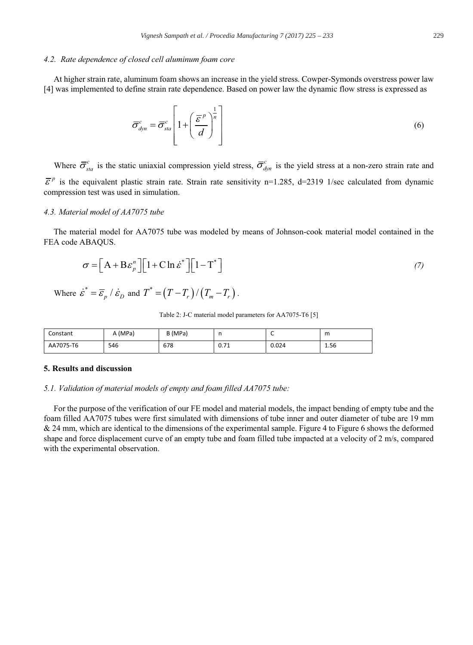## 4.2. Rate dependence of closed cell aluminum foam core

At higher strain rate, aluminum foam shows an increase in the yield stress. Cowper-Symonds overstress power law [4] was implemented to define strain rate dependence. Based on power law the dynamic flow stress is expressed as

$$
\overline{\sigma}_{dyn}^{c} = \overline{\sigma}_{sta}^{c} \left[ 1 + \left( \frac{\overline{\mathcal{E}}^{p}}{d} \right)^{\frac{1}{n}} \right]
$$
 (6)

Where  $\bar{\sigma}_{sta}^c$  is the static uniaxial compression yield stress,  $\bar{\sigma}_{dm}^c$  is the yield stress at a non-zero strain rate and  $\overline{\mathcal{E}}^p$  is the equivalent plastic strain rate. Strain rate sensitivity n=1.285, d=2319 1/sec calculated from dynamic compression test was used in simulation.

#### 4.3. Material model of AA7075 tube

The material model for AA7075 tube was modeled by means of Johnson-cook material model contained in the FEA code ABAQUS.

$$
\sigma = \left[ A + B \varepsilon_p^n \right] \left[ 1 + C \ln \dot{\varepsilon}^* \right] \left[ 1 - T^* \right] \tag{7}
$$

Where 
$$
\dot{\varepsilon}^* = \overline{\varepsilon}_p / \dot{\varepsilon}_D
$$
 and  $T^* = (T - T_r) / (T_m - T_r)$ .

#### Table 2: J-C material model parameters for AA7075-T6 [5]

| Constant  | (MPa) | B (MPa) | . .        | ∽     | m    |
|-----------|-------|---------|------------|-------|------|
| AA7075-T6 | 546   | 678     | 74<br>0.71 | 0.024 | 1.56 |

## 5. Results and discussion

#### 5.1. Validation of material models of empty and foam filled AA7075 tube:

For the purpose of the verification of our FE model and material models, the impact bending of empty tube and the foam filled AA7075 tubes were first simulated with dimensions of tube inner and outer diameter of tube are 19 mm & 24 mm, which are identical to the dimensions of the experimental sample. Figure 4 to Figure 6 shows the deformed shape and force displacement curve of an empty tube and foam filled tube impacted at a velocity of 2 m/s, compared with the experimental observation.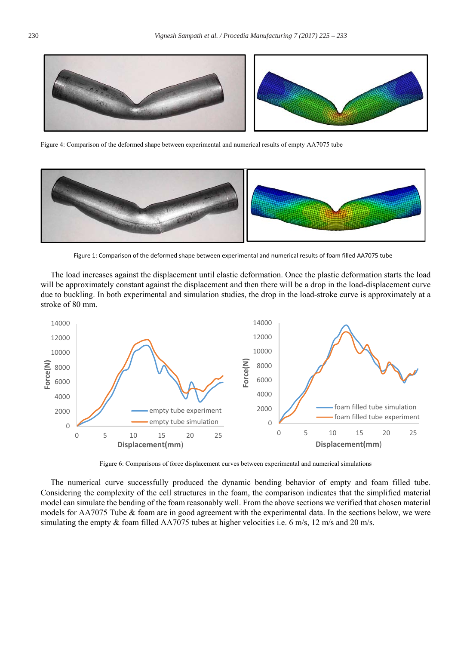

Figure 4: Comparison of the deformed shape between experimental and numerical results of empty AA7075 tube



Figure 1: Comparison of the deformed shape between experimental and numerical results of foam filled AA7075 tube

The load increases against the displacement until elastic deformation. Once the plastic deformation starts the load will be approximately constant against the displacement and then there will be a drop in the load-displacement curve due to buckling. In both experimental and simulation studies, the drop in the load-stroke curve is approximately at a stroke of 80 mm.



Figure 6: Comparisons of force displacement curves between experimental and numerical simulations

The numerical curve successfully produced the dynamic bending behavior of empty and foam filled tube. Considering the complexity of the cell structures in the foam, the comparison indicates that the simplified material model can simulate the bending of the foam reasonably well. From the above sections we verified that chosen material models for AA7075 Tube & foam are in good agreement with the experimental data. In the sections below, we were simulating the empty  $\&$  foam filled AA7075 tubes at higher velocities i.e. 6 m/s, 12 m/s and 20 m/s.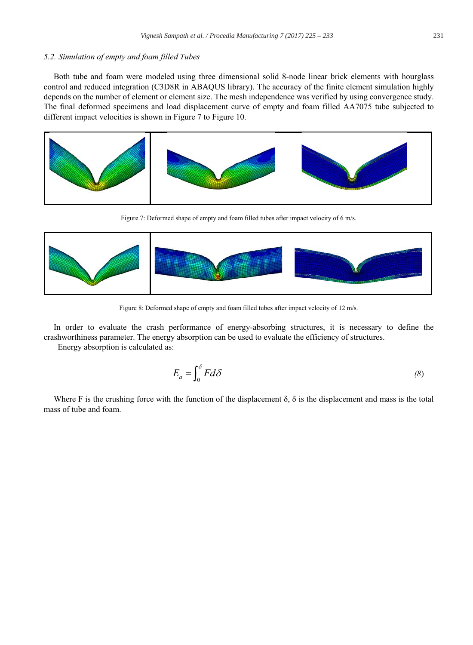## 5.2. Simulation of empty and foam filled Tubes

Both tube and foam were modeled using three dimensional solid 8-node linear brick elements with hourglass control and reduced integration (C3D8R in ABAQUS library). The accuracy of the finite element simulation highly depends on the number of element or element size. The mesh independence was verified by using convergence study. The final deformed specimens and load displacement curve of empty and foam filled AA7075 tube subjected to different impact velocities is shown in Figure 7 to Figure 10.



Figure 7: Deformed shape of empty and foam filled tubes after impact velocity of 6 m/s.



Figure 8: Deformed shape of empty and foam filled tubes after impact velocity of 12 m/s.

In order to evaluate the crash performance of energy-absorbing structures, it is necessary to define the crashworthiness parameter. The energy absorption can be used to evaluate the efficiency of structures.

Energy absorption is calculated as:

$$
E_a = \int_0^\delta F d\delta \tag{8}
$$

Where F is the crushing force with the function of the displacement  $\delta$ ,  $\delta$  is the displacement and mass is the total mass of tube and foam.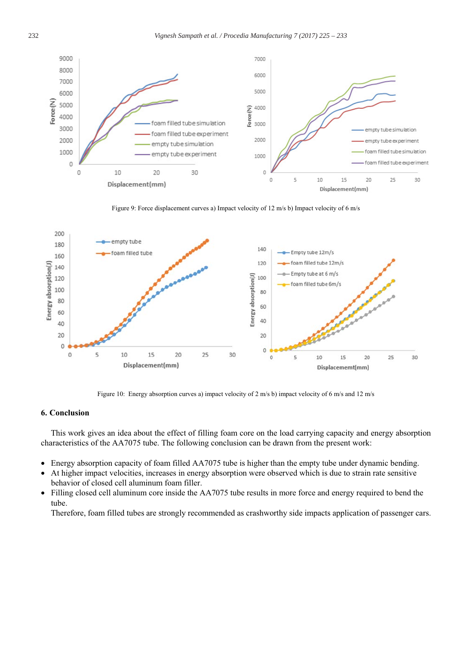

Figure 9: Force displacement curves a) Impact velocity of 12 m/s b) Impact velocity of 6 m/s



Figure 10: Energy absorption curves a) impact velocity of 2 m/s b) impact velocity of 6 m/s and 12 m/s

## 6. Conclusion

This work gives an idea about the effect of filling foam core on the load carrying capacity and energy absorption characteristics of the AA7075 tube. The following conclusion can be drawn from the present work:

- Energy absorption capacity of foam filled AA7075 tube is higher than the empty tube under dynamic bending.  $\bullet$
- At higher impact velocities, increases in energy absorption were observed which is due to strain rate sensitive  $\bullet$ behavior of closed cell aluminum foam filler.
- Filling closed cell aluminum core inside the AA7075 tube results in more force and energy required to bend the  $\bullet$ tube.

Therefore, foam filled tubes are strongly recommended as crashworthy side impacts application of passenger cars.